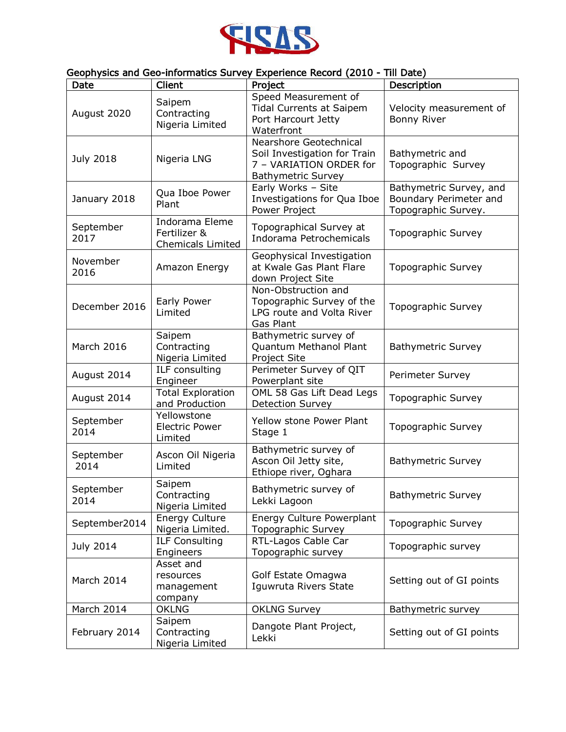

## Geophysics and Geo-informatics Survey Experience Record (2010 - Till Date)

| Date              | Client                                              | Project                                                                                                               | Description                                                              |
|-------------------|-----------------------------------------------------|-----------------------------------------------------------------------------------------------------------------------|--------------------------------------------------------------------------|
| August 2020       | Saipem<br>Contracting<br>Nigeria Limited            | Speed Measurement of<br>Tidal Currents at Saipem<br>Port Harcourt Jetty<br>Waterfront                                 | Velocity measurement of<br>Bonny River                                   |
| <b>July 2018</b>  | Nigeria LNG                                         | <b>Nearshore Geotechnical</b><br>Soil Investigation for Train<br>7 - VARIATION ORDER for<br><b>Bathymetric Survey</b> | Bathymetric and<br>Topographic Survey                                    |
| January 2018      | Qua Iboe Power<br>Plant                             | Early Works - Site<br>Investigations for Qua Iboe<br>Power Project                                                    | Bathymetric Survey, and<br>Boundary Perimeter and<br>Topographic Survey. |
| September<br>2017 | Indorama Eleme<br>Fertilizer &<br>Chemicals Limited | Topographical Survey at<br>Indorama Petrochemicals                                                                    | Topographic Survey                                                       |
| November<br>2016  | Amazon Energy                                       | Geophysical Investigation<br>at Kwale Gas Plant Flare<br>down Project Site                                            | Topographic Survey                                                       |
| December 2016     | Early Power<br>Limited                              | Non-Obstruction and<br>Topographic Survey of the<br>LPG route and Volta River<br>Gas Plant                            | Topographic Survey                                                       |
| March 2016        | Saipem<br>Contracting<br>Nigeria Limited            | Bathymetric survey of<br>Quantum Methanol Plant<br>Project Site                                                       | <b>Bathymetric Survey</b>                                                |
| August 2014       | ILF consulting<br>Engineer                          | Perimeter Survey of QIT<br>Powerplant site                                                                            | Perimeter Survey                                                         |
| August 2014       | <b>Total Exploration</b><br>and Production          | OML 58 Gas Lift Dead Legs<br><b>Detection Survey</b>                                                                  | Topographic Survey                                                       |
| September<br>2014 | Yellowstone<br><b>Electric Power</b><br>Limited     | Yellow stone Power Plant<br>Stage 1                                                                                   | Topographic Survey                                                       |
| September<br>2014 | Ascon Oil Nigeria<br>Limited                        | Bathymetric survey of<br>Ascon Oil Jetty site,<br>Ethiope river, Oghara                                               | <b>Bathymetric Survey</b>                                                |
| September<br>2014 | Saipem<br>Contracting<br>Nigeria Limited            | Bathymetric survey of<br>Lekki Lagoon                                                                                 | <b>Bathymetric Survey</b>                                                |
| September2014     | <b>Energy Culture</b><br>Nigeria Limited.           | Energy Culture Powerplant<br>Topographic Survey                                                                       | Topographic Survey                                                       |
| July 2014         | <b>ILF Consulting</b><br>Engineers                  | RTL-Lagos Cable Car<br>Topographic survey                                                                             | Topographic survey                                                       |
| March 2014        | Asset and<br>resources<br>management<br>company     | Golf Estate Omagwa<br>Iguwruta Rivers State                                                                           | Setting out of GI points                                                 |
| March 2014        | <b>OKLNG</b>                                        | <b>OKLNG Survey</b>                                                                                                   | Bathymetric survey                                                       |
| February 2014     | Saipem<br>Contracting<br>Nigeria Limited            | Dangote Plant Project,<br>Lekki                                                                                       | Setting out of GI points                                                 |